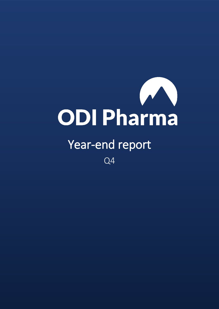

# Year-end report

Q4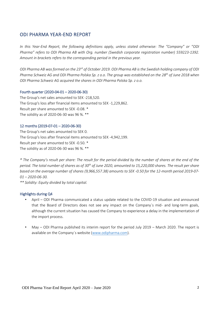## ODI PHARMA YEAR-END REPORT

*In this Year-End Report, the following definitions apply, unless stated otherwise: The "Company" or "ODI Pharma" refers to ODI Pharma AB with Org. number (Swedish corporate registration number) 559223-1392. Amount in brackets refers to the corresponding period in the previous year.*

*ODI Pharma AB was formed on the 23rd of October 2019. ODI Pharma AB is the Swedish holding company of ODI Pharma Schweiz AG and ODI Pharma Polska Sp. z o.o. The group was established on the 28th of June 2018 when ODI Pharma Schweiz AG acquired the shares in ODI Pharma Polska Sp. z o.o.*

#### Fourth quarter (2020-04-01 – 2020-06-30)

The Group's net sales amounted to SEK -218,520. The Group's loss after financial items amounted to SEK -1,229,862. Result per share amounted to SEK -0.08. \* The solidity as of 2020-06-30 was 96 %. \*\*

#### 12 months (2019-07-01 – 2020-06-30)

The Group's net sales amounted to SEK 0. The Group's loss after financial items amounted to SEK -4,942,199. Result per share amounted to SEK -0.50. \* The solidity as of 2020-06-30 was 96 %. \*\*

*\* The Company's result per share: The result for the period divided by the number of shares at the end of the period. The total number of shares as of 30th of June 2020, amounted to 15,220,000 shares. The result per share based on the average number of shares (9,966,557.38) amounts to SEK -0.50 for the 12-month period 2019-07- 01 – 2020-06-30.*

*\*\* Solidity: Equity divided by total capital.*

#### Highlights during Q4

- April ODI Pharma communicated a status update related to the COVID-19 situation and announced that the Board of Directors does not see any impact on the Company´s mid- and long-term goals, although the current situation has caused the Company to experience a delay in the implementation of the import process.
- May ODI Pharma published its interim report for the period July 2019 March 2020. The report is available on the Company´s website [\(www.odipharma.com\)](http://www.odipharma.com/).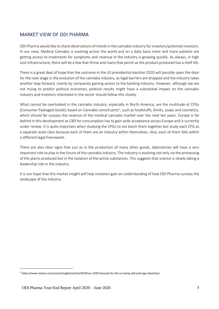# MARKET VIEW OF ODI PHARMA

ODI Pharma would like to share observations of trends in the cannabis industry for investors/potential investors. In our view, Medical Cannabis is evolving across the world and on a daily basis more and more patients are getting access to treatments for symptoms and revenue in the industry is growing quickly. As always, in high cost infrastructure, there will be a few that thrive and many that perish as the product produced has a shelf life.

There is a great deal of hope that the outcome in the US presidential election 2020 will possibly open the door for the next stage in the evolution of the cannabis industry, as legal barriers are dropped and the industry takes another leap forward, mainly by companies gaining access to the banking industry. However, although we are not trying to predict political outcomes, political results might have a substantial impact on the cannabis industry and investors interested in the sector should follow this closely.

What cannot be overlooked in the cannabis industry, especially in North America, are the multitude of CPGs (Consumer Packaged Goods) based on Cannabis constituents<sup>1</sup>, such as foodstuffs, drinks, soaps and cosmetics, which should far surpass the revenue of the medical cannabis market over the next ten years. Europe is far behind in this development as CBD for consumption has to gain wide acceptance across Europe and is currently under review. It is quite important when studying the CPGs to not batch them together but study each CPG as a separate asset class because each of them are an industry within themselves. Also, each of them falls within a different legal framework.

There are also clear signs that just as in the production of many other goods, laboratories will have a very important role to play in the future of the cannabis industry. The industry is evolving not only via the processing of the plants produced but in the isolation of the active substances. This suggests that science is slowly taking a leadership role in the industry.

It is our hope that this market insight will help investors gain an understanding of how ODI Pharma surveys the landscape of the industry.

<u>.</u>

<sup>&</sup>lt;sup>1</sup> https://www.nielsen.com/us/en/insights/article/2019/our-2020-forecast-for-the-us-hemp-cbd-and-cpg-industries/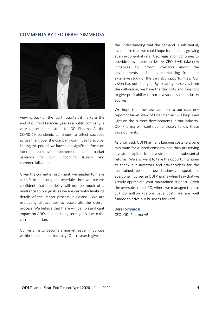## COMMENTS BY CEO DEREK SIMMROSS



Viewing back on the fourth quarter, it marks as the end of our first financial year as a public company, a very important milestone for ODI Pharma. As the COVID-19 pandemic continues to affect societies across the globe, the company continues to evolve. During this period, we have put a significant focus on internal business improvements and market research for our upcoming launch and commercialization.

Given the current environment, we needed to make a shift in our original schedule, but we remain confident that the delay will not be much of a hindrance to our goals as we are currently finalizing details of the import process in Poland. We are evaluating all avenues to accelerate the overall process. We believe that there will be no significant impact on ODI´s mid- and long-term goals due to the current situation.

Our vision is to become a market leader in Europe within the cannabis industry. Our research gives us the understanding that the demand is substantial, even more than we could hope for, and it is growing at an exponential rate. Also, legislation continues to provide new opportunities. As CEO, I will take new initiatives to inform investors about the developments and ideas culminating from our extensive study of the cannabis opportunities. Our vision has not changed. By isolating ourselves from the cultivation, we have the flexibility and foresight to give profitability to our investors as the industry evolves.

We hope that the new addition to our quarterly report "Market View of ODI Pharma" will help shed light on the current developments in our industry. ODI Pharma will continue to closely follow these developments.

As promised, ODI Pharma is keeping costs to a bare minimum for a listed company and thus preserving investor capital for investment and substantial returns. We also want to take the opportunity again to thank our investors and stakeholders for the maintained belief in our business. I speak for everyone involved in ODI Pharma when I say that we greatly appreciate your maintained support. Given the oversubscribed IPO, where we managed to raise SEK 25 million (before issue cost), we are well funded to drive our business forward.

#### Derek Simmross

CEO, ODI Pharma AB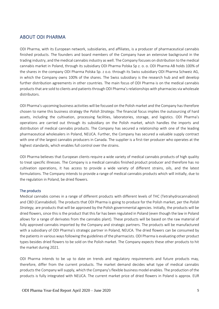# ABOUT ODI PHARMA

ODI Pharma, with its European network, subsidiaries, and affiliates, is a producer of pharmaceutical cannabis finished products. The founders and board members of the Company have an extensive background in the trading industry, and the medical cannabis industry as well. The Company focuses on distribution to the medical cannabis market in Poland, through its subsidiary ODI Pharma Polska Sp z. o. o. ODI Pharma AB holds 100% of the shares in the company ODI Pharma Polska Sp. z o.o. through its Swiss subsidiary ODI Pharma Schweiz AG, in which the Company owns 100% of the shares. The Swiss subsidiary is the research hub and will develop further distribution agreements in other countries. The main focus of ODI Pharma is on the medical cannabis products that are sold to clients and patients through ODI Pharma's relationships with pharmacies via wholesale distributors.

ODI Pharma's upcoming business activities will be focused on the Polish market and the Company has therefore chosen to name this business strategy the *Polish Strategy*. The financial focus implies the outsourcing of hard assets, including the cultivation, processing facilities, laboratories, storage, and logistics. ODI Pharma's operations are carried out through its subsidiary on the Polish market, which handles the imports and distribution of medical cannabis products. The Company has secured a relationship with one of the leading pharmaceutical wholesalers in Poland, NEUCA. Further, the Company has secured a valuable supply contract with one of the largest cannabis producers in Canada. The supplier is a first-tier producer who operates at the highest standards, which enables full control over the strains.

ODI Pharma believes that European clients require a wide variety of medical cannabis products of high quality to treat specific illnesses. The Company is a medical cannabis finished product producer and therefore has no cultivation operations, it has access to provide a wide variety of different strains, oils, and the latest formulations. The Company intends to provide a range of medical cannabis products which will initially, due to the regulation in Poland, be dried flowers.

#### The products

Medical cannabis comes in a range of different products with different levels of THC (Tetrahydrocannabinol) and CBD (Cannabidiol). The products that ODI Pharma is going to produce for the Polish market, per the *Polish Strategy,* are products that will be approved by the Polish governmental agencies. Initially, the products will be dried flowers, since this is the product that this far has been regulated in Poland (even though the law in Poland allows for a range of derivates from the cannabis plant). These products will be based on the raw material of fully approved cannabis imported by the Company and strategic partners. The products will be manufactured with a subsidiary of ODI Pharma's strategic partner in Poland, NEUCA. The dried flowers can be consumed by the patients in various ways following the guidelines of the pharmacists. ODI Pharma is evaluating other product types besides dried flowers to be sold on the Polish market. The Company expects these other products to hit the market during 2021.

ODI Pharma intends to be up to date on trends and regulatory requirements and future products may, therefore, differ from the current products. The market demand decides what type of medical cannabis products the Company will supply, which the Company's flexible business model enables. The production of the products is fully integrated with NEUCA. The current market price of dried flowers in Poland is approx. EUR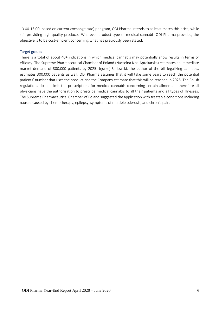13.00-16.00 (based on current exchange rate) per gram, ODI Pharma intends to at least match this price, while still providing high-quality products. Whatever product type of medical cannabis ODI Pharma provides, the objective is to be cost-efficient concerning what has previously been stated.

#### Target groups

There is a total of about 40+ indications in which medical cannabis may potentially show results in terms of efficacy. The Supreme Pharmaceutical Chamber of Poland (Naczelna Izba Aptekarska) estimates an immediate market demand of 300,000 patients by 2025. Jędrzej Sadowski, the author of the bill legalizing cannabis, estimates 300,000 patients as well. ODI Pharma assumes that it will take some years to reach the potential patients' number that uses the product and the Company estimate that this will be reached in 2025. The Polish regulations do not limit the prescriptions for medical cannabis concerning certain ailments – therefore all physicians have the authorization to prescribe medical cannabis to all their patients and all types of illnesses. The Supreme Pharmaceutical Chamber of Poland suggested the application with treatable conditions including nausea caused by chemotherapy, epilepsy, symptoms of multiple sclerosis, and chronic pain.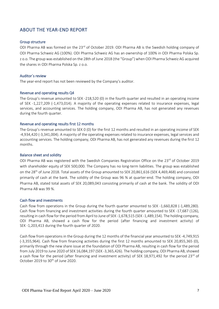# ABOUT THE YEAR-END REPORT

#### Group structure

ODI Pharma AB was formed on the 23<sup>rd</sup> of October 2019. ODI Pharma AB is the Swedish holding company of ODI Pharma Schweiz AG (100%). ODI Pharma Schweiz AG has an ownership of 100% in ODI Pharma Polska Sp. z o.o. The group was established on the 28th of June 2018 (the "Group") when ODI Pharma Schweiz AG acquired the shares in ODI Pharma Polska Sp. z o.o.

#### Auditor´s review

The year-end report has not been reviewed by the Company's auditor.

#### Revenue and operating results Q4

The Group's revenue amounted to SEK -218,520 (0) in the fourth quarter and resulted in an operating income of SEK -1,227,209 (-1,473,014). A majority of the operating expenses related to insurance expenses, legal services, and accounting services. The holding company, ODI Pharma AB, has not generated any revenues during the fourth quarter.

#### Revenue and operating results first 12 months

The Group's revenue amounted to SEK 0 (0) for the first 12 months and resulted in an operating income of SEK -4,934,420 (-3,341,004). A majority of the operating expenses related to insurance expenses, legal services and accounting services. The holding company, ODI Pharma AB, has not generated any revenues during the first 12 months.

#### Balance sheet and solidity

ODI Pharma AB was registered with the Swedish Companies Registration Office on the 23<sup>rd</sup> of October 2019 with shareholder equity of SEK 500,000. The Company has no long-term liabilities. The group was established on the 28th of June 2018. Total assets of the Group amounted to SEK 20,861,616 (SEK 4,469,468) and consisted primarily of cash at the bank. The solidity of the Group was 96 % at quarter-end. The holding company, ODI Pharma AB, stated total assets of SEK 20,089,043 consisting primarily of cash at the bank. The solidity of ODI Pharma AB was 99 %.

#### Cash flow and investments

Cash flow from operations in the Group during the fourth quarter amounted to SEK -1,660,828 (-1,489,280). Cash flow from financing and investment activities during the fourth quarter amounted to SEK -17,687 (126), resulting in cash flow for the period from April to June of SEK -1,678,515 (SEK -1,489,154). The holding company, ODI Pharma AB, showed a cash flow for the period (after financing and investment activity) of SEK -1,203,413 during the fourth quarter of 2020.

Cash flow from operations in the Group during the 12 months of the financial year amounted to SEK -4,749,915 (-3,355,964). Cash flow from financing activities during the first 12 months amounted to SEK 20,855,365 (0), primarily through the new share issue at the foundation of ODI Pharma AB, resulting in cash flow for the period from July 2019 to June 2020 of SEK 16,084,197 (SEK -3,365,426). The holding company, ODI Pharma AB, showed a cash flow for the period (after financing and investment activity) of SEK 18,971,492 for the period 23<sup>rd</sup> of October 2019 to 30<sup>th</sup> of June 2020.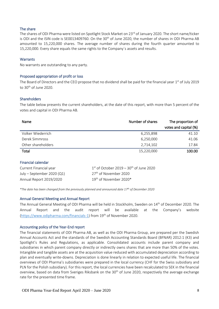#### The share

The shares of ODI Pharma were listed on Spotlight Stock Market on 23<sup>rd</sup> of January 2020. The short name/ticker is ODI and the ISIN code is SE0013409760. On the  $30<sup>th</sup>$  of June 2020, the number of shares in ODI Pharma AB amounted to 15,220,000 shares. The average number of shares during the fourth quarter amounted to 15,220,000. Every share equals the same rights to the Company´s assets and results.

#### **Warrants**

No warrants are outstanding to any party.

#### Proposed appropriation of profit or loss

The Board of Directors and the CEO propose that no dividend shall be paid for the financial year 1<sup>st</sup> of July 2019 to 30<sup>th</sup> of June 2020.

#### **Shareholders**

The table below presents the current shareholders, at the date of this report, with more than 5 percent of the votes and capital in ODI Pharma AB.

| Name               | Number of shares | The proportion of<br>votes and capital (%) |
|--------------------|------------------|--------------------------------------------|
| Volker Wiederrich  | 6,255,898        | 41.10                                      |
| Derek Simmross     | 6,250,000        | 41.06                                      |
| Other shareholders | 2,714,102        | 17.84                                      |
| Total              | 15,220,000       | 100.00                                     |

#### Financial calendar

| Current Financial year     | $1st$ of October 2019 – 30 <sup>th</sup> of June 2020 |
|----------------------------|-------------------------------------------------------|
| July - September 2020 (Q1) | 27 <sup>th</sup> of November 2020                     |
| Annual Report 2019/2020    | 19 <sup>th</sup> of November 2020*                    |

*\*The date has been changed from the previously planned and announced date 17th of December 2020*

#### Annual General Meeting and Annual Report

The Annual General Meeting of ODI Pharma will be held in Stockholm, Sweden on 14<sup>th</sup> of December 2020. The Annual Report and the audit report will be available at the Company's website [\(https://www.odipharma.com/financials-1\)](https://www.odipharma.com/financials-1) from 19<sup>th</sup> of November 2020.

#### Accounting policy of the Year-End report

The financial statements of ODI Pharma AB, as well as the ODI Pharma Group, are prepared per the Swedish Annual Accounts Act and the standards of the Swedish Accounting Standards Board (BFNAR) 2012:1 (K3) and Spotlight's Rules and Regulations, as applicable. Consolidated accounts include parent company and subsidiaries in which parent company directly or indirectly owns shares that are more than 50% of the votes. Intangible and tangible assets are at the acquisition value reduced with accumulated depreciation according to plan and eventually write-downs. Depreciation is done linearly in relation to expected useful life. The financial overviews of ODI Pharma's subsidiaries were prepared in the local currency (CHF for the Swiss subsidiary and PLN for the Polish subsidiary). For this report, the local currencies have been recalculated to SEK in the financial overview, based on data from Sveriges Riksbank on the 30<sup>th</sup> of June 2020, respectively the average exchange rate for the presented time frame.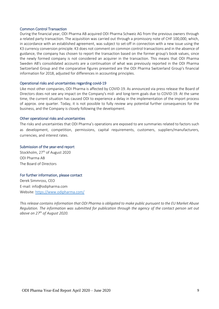#### Common Control Transaction

During the financial year, ODI Pharma AB acquired ODI Pharma Schweiz AG from the previous owners through a related party transaction. The acquisition was carried out through a promissory note of CHF 100,000, which, in accordance with an established agreement, was subject to set-off in connection with a new issue using the K3 currency conversion principle. K3 does not comment on common control transactions and in the absence of guidance, the company has chosen to report the transaction based on the former group's book values, since the newly formed company is not considered an acquirer in the transaction. This means that ODI Pharma Sweden AB's consolidated accounts are a continuation of what was previously reported in the ODI Pharma Switzerland Group and the comparative figures presented are the ODI Pharma Switzerland Group's financial information for 2018, adjusted for differences in accounting principles.

#### Operational risks and uncertainties regarding covid-19

Like most other companies, ODI Pharma is affected by COVID-19. As announced via press release the Board of Directors does not see any impact on the Company's mid- and long-term goals due to COVID-19. At the same time, the current situation has caused ODI to experience a delay in the implementation of the import process of approx. one quarter. Today, it is not possible to fully review any potential further consequences for the business, and the Company is closely following the development.

#### Other operational risks and uncertainties

The risks and uncertainties that ODI Pharma's operations are exposed to are summaries related to factors such as development, competition, permissions, capital requirements, customers, suppliers/manufacturers, currencies, and interest rates.

#### Submission of the year-end report

Stockholm, 27<sup>th</sup> of August 2020 ODI Pharma AB The Board of Directors

#### For further information, please contact

Derek Simmross, CEO E-mail: info@odipharma.com Website:<https://www.odipharma.com/>

*This release contains information that ODI Pharma is obligated to make public pursuant to the EU Market Abuse Regulation. The information was submitted for publication through the agency of the contact person set out above on 27th of August 2020.*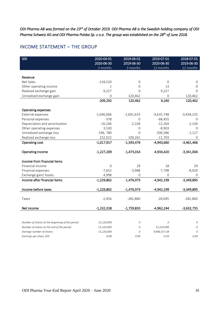*ODI Pharma AB was formed on the 23rd of October 2019. ODI Pharma AB is the Swedish holding company of ODI Pharma Schweiz AG and ODI Pharma Polska Sp. z o.o. The group was established on the 28th of June 2018.* 

## INCOME STATEMENT – THE GROUP

| <b>SEK</b>                                      | 2020-04-01   | 2019-04-01   | 2019-07-01   | 2018-07-01   |
|-------------------------------------------------|--------------|--------------|--------------|--------------|
|                                                 | 2020-06-30   | 2019-06-30   | 2020-06-30   | 2019-06-30   |
|                                                 | 3 months     | 3 months     | 12 months    | 12 months    |
|                                                 |              |              |              |              |
| Revenue                                         |              |              |              |              |
| Net Sales                                       | $-218,520$   | 0            | $\mathbf 0$  | $\mathbf 0$  |
| Other operating income                          | $\mathbf{1}$ | 0            | 13           | $\mathbf{O}$ |
| Realised exchange gain                          | 9,227        | $\Omega$     | 9,227        | $\Omega$     |
| Unrealised exchange gain                        | $\mathbf 0$  | 120,462      | 0            | 120,462      |
|                                                 | $-209,292$   | 120,462      | 9,240        | 120,462      |
|                                                 |              |              |              |              |
| Operating expenses                              |              |              |              |              |
| External expenses                               | $-1,046,066$ | $-1,691,633$ | $-4,635,748$ | $-3,458,235$ |
| Personal expenses                               | $-378$       | 0            | $-68,455$    | 0            |
| Depreciation and amortization                   | $-10,246$    | $-2,104$     | $-12,264$    | $-2,104$     |
| Other operating expenses                        | 3,530        | 0            | $-8,903$     | $\mathbf 0$  |
| Unrealised exchange loss                        | $-196,780$   | $\Omega$     | $-206,586$   | $-1,127$     |
| Realised exchange loss                          | 232,022      | 100,261      | $-11,703$    | 0            |
| Operating cost                                  | $-1,017,917$ | $-1,593,476$ | $-4,943,660$ | $-3,461,466$ |
| Operating income                                | $-1,227,209$ | $-1,473,014$ | $-4,934,420$ | $-3,341,004$ |
|                                                 |              |              |              |              |
| Income from financial items                     |              |              |              |              |
| Financial income                                | 0            | 29           | 18           | 29           |
| Financial expenses                              | $-7,652$     | $-3,988$     | $-7,798$     | $-8,920$     |
| Exchange gain/ losses                           | 4,998        | $\Omega$     | $\Omega$     | $\Omega$     |
| Income after financial items                    | $-1,229,862$ | $-1,476,973$ | $-4,942,199$ | $-3,349,895$ |
| Income before taxes                             | $-1,229,862$ | $-1,476,973$ | $-4,942,199$ | $-3,349,895$ |
|                                                 |              |              |              |              |
| Taxes                                           | $-2,456$     | $-282,860$   | $-20,045$    | $-282,860$   |
|                                                 |              |              |              |              |
| Net income                                      | $-1,232,318$ | $-1,759,833$ | $-4,962,244$ | $-3,632,755$ |
|                                                 |              |              |              |              |
| Number of shares at the beginning of the period | 15,220,000   | 0            | 0            | 0            |
| Number of shares at the end of the period       | 15,220,000   | 0            | 15,220,000   | 0            |
| Average number of shares                        | 15,220,000   | 0            | 9,966,557.38 | 0            |
| Earnings per share, SEK                         | $-0.08$      | 0.00         | $-0.50$      | 0.00         |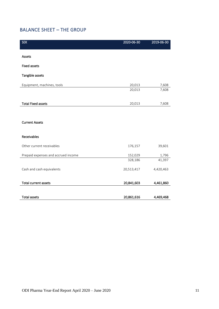# BALANCE SHEET – THE GROUP

| <b>SEK</b>                          | 2020-06-30 | 2019-06-30 |
|-------------------------------------|------------|------------|
|                                     |            |            |
| Assets                              |            |            |
| <b>Fixed assets</b>                 |            |            |
| Tangible assets                     |            |            |
| Equipment, machines, tools          | 20,013     | 7,608      |
|                                     | 20,013     | 7,608      |
|                                     |            |            |
| <b>Total Fixed assets</b>           | 20,013     | 7,608      |
|                                     |            |            |
| <b>Current Assets</b>               |            |            |
|                                     |            |            |
| Receivables                         |            |            |
| Other current receivables           | 176,157    | 39,601     |
| Prepaid expenses and accrued income | 152,029    | 1,796      |
|                                     | 328,186    | 41,397     |
| Cash and cash equivalents           | 20,513,417 | 4,420,463  |
|                                     |            |            |
| Total current assets                | 20,841,603 | 4,461,860  |
|                                     |            |            |
| <b>Total assets</b>                 | 20,861,616 | 4,469,468  |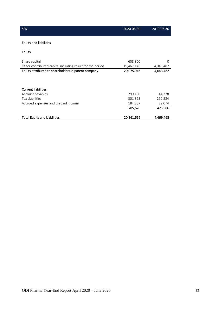| <b>SEK</b>                                                | 2020-06-30 | 2019-06-30 |
|-----------------------------------------------------------|------------|------------|
|                                                           |            |            |
| <b>Equity and liabilities</b>                             |            |            |
| <b>Equity</b>                                             |            |            |
| Share capital                                             | 608,800    | $\Omega$   |
| Other contributed capital including result for the period | 19,467,146 | 4,043,482  |
| Equity attributed to shareholders in parent company       | 20,075,946 | 4,043,482  |
|                                                           |            |            |
|                                                           |            |            |
| <b>Current liabilities</b>                                |            |            |
| Account payables                                          | 299,180    | 44,378     |
| Tax Liabilities                                           | 301,823    | 292,534    |
| Accrued expenses and prepaid income                       | 184,667    | 89,074     |
|                                                           | 785,670    | 425,986    |
| <b>Total Equity and Liabilities</b>                       | 20,861,616 | 4,469,468  |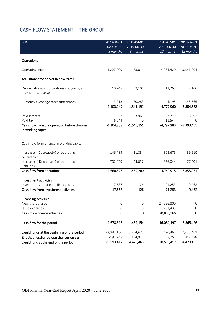# CASH FLOW STATEMENT – THE GROUP

| <b>SEK</b>                                                                                      | 2020-04-01<br>2020-06-30 | 2019-04-01<br>2019-06-30 | 2019-07-01<br>2020-06-30 | 2018-07-01<br>2019-06-30 |
|-------------------------------------------------------------------------------------------------|--------------------------|--------------------------|--------------------------|--------------------------|
|                                                                                                 | 3 months                 | 3 months                 | 12 months                | 12 months                |
| Operations                                                                                      |                          |                          |                          |                          |
| Operating income                                                                                | $-1,227,209$             | $-1,473,014$             | -4,934,420               | $-3,341,004$             |
| Adjustment for non-cash flow items                                                              |                          |                          |                          |                          |
| Depreciations, amortizations and gains, and<br>losses of fixed assets                           | 10,247                   | 2,106                    | 12,265                   | 2,106                    |
| Currency exchange rates differences                                                             | 113,713                  | $-70,283$                | 144,195                  | $-45,665$                |
|                                                                                                 | $-1,103,249$             | $-1,541,191$             | $-4,777,960$             | $-3,384,563$             |
|                                                                                                 |                          |                          |                          |                          |
| Paid interest                                                                                   | $-7,633$                 | $-3,960$                 | $-7,779$                 | $-8,892$                 |
| Paid tax                                                                                        | 6,044                    | 0                        | $-11,544$                | 0                        |
| Cash flow from the operation before changes<br>in working capital                               | $-1,104,838$             | $-1,545,151$             | $-4,797,283$             | $-3,393,455$             |
| Cash flow form change in working capital<br>Increase(-) Decrease(+) of operating<br>receivables | 146,489                  | 31,834                   | $-308,676$               | $-39,910$                |
| Increase(+) Decrease(-) of operating<br>liabilities                                             | $-702,479$               | 24,037                   | 356,044                  | 77,401                   |
| Cash flow from operations                                                                       | $-1,660,828$             | $-1,489,280$             | $-4,749,915$             | $-3,355,964$             |
| Investment activities                                                                           |                          |                          |                          |                          |
| Investments in tangible fixed assets                                                            | $-17,687$                | 126                      | $-21,253$                | $-9,462$                 |
| Cash flow from investment activities                                                            | $-17,687$                | 126                      | $-21,253$                | $-9,462$                 |
| <b>Financing activities</b>                                                                     |                          |                          |                          |                          |
| New shares issue                                                                                | O                        | 0                        | 24,556,800               | O                        |
| Issue expenses                                                                                  | 0                        | 0                        | $-3,701,435$             | 0                        |
| Cash from finance activities                                                                    | $\mathbf 0$              | $\mathbf 0$              | 20,855,365               | 0                        |
| Cash flow for the period                                                                        | $-1,678,515$             | $-1,489,154$             | 16,084,197               | $-3,365,426$             |
| Liquid funds at the beginning of the period                                                     | 22,383,180               | 5,754,670                | 4,420,463                | 7,438,461                |
| Effects of exchange rate changes on cash                                                        | $-191,248$               | 154,947                  | 8,757                    | 347,428                  |
| Liquid fund at the end of the period                                                            | 20,513,417               | 4,420,463                | 20,513,417               | 4,420,463                |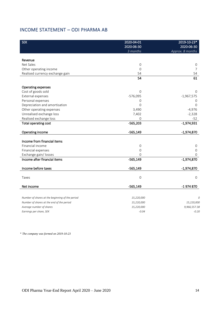# INCOME STATEMENT – ODI PHARMA AB

| <b>SEK</b>                                      | 2020-04-01<br>2020-06-30 | 2019-10-23*<br>2020-06-30 |
|-------------------------------------------------|--------------------------|---------------------------|
|                                                 | 3 months                 | Approx. 8 months          |
|                                                 |                          |                           |
| Revenue                                         |                          |                           |
| Net Sales                                       | 0                        | 0                         |
| Other operating income                          | $\mathbf 0$              | $\overline{7}$            |
| Realised currency exchange gain                 | 54                       | 54                        |
|                                                 | 54                       | 61                        |
| Operating expenses                              |                          |                           |
| Cost of goods sold                              | 0                        | 0                         |
| External expenses                               | $-576,095$               | $-1,967,575$              |
| Personal expenses                               | 0                        | 0                         |
| Depreciation and amortisation                   | 0                        | 0                         |
| Other operating expenses                        | 3,490                    | $-4,976$                  |
| Unrealised exchange loss                        | 7,402                    | $-2,328$                  |
| Realised exchange loss                          | 0                        | $-52$                     |
| Total operating cost                            | $-565,203$               | $-1,974,931$              |
| Operating income                                | $-565,149$               | $-1,974,870$              |
| Income from financial items                     |                          |                           |
| Financial income                                | 0                        | 0                         |
| Financial expenses                              | 0                        | 0                         |
| Exchange gain/ losses                           | 0                        | 0                         |
| Income after financial items                    | $-565,149$               | $-1,974,870$              |
| Income before taxes                             | $-565,149$               | $-1,974,870$              |
|                                                 |                          |                           |
| Taxes                                           | $\mathbf 0$              | 0                         |
| Net income                                      | $-565,149$               | -1974870                  |
|                                                 |                          |                           |
| Number of shares at the beginning of the period | 15,220,000               | C.                        |
| Number of shares at the end of the period       | 15,220,000               | 15,220,000                |
| Average number of shares                        | 15,220,000               | 9,966,557.38              |
| Earnings per share, SEK                         | $-0.04$                  | $-0.20$                   |

*\* The company was formed on 2019-10-23*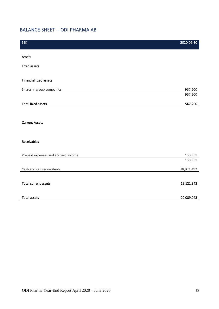# BALANCE SHEET – ODI PHARMA AB

| <b>SEK</b>                          | 2020-06-30 |
|-------------------------------------|------------|
| Assets                              |            |
|                                     |            |
| <b>Fixed assets</b>                 |            |
|                                     |            |
| Financial fixed assets              |            |
| Shares in group companies           | 967,200    |
|                                     | 967,200    |
| <b>Total fixed assets</b>           | 967,200    |
|                                     |            |
|                                     |            |
| <b>Current Assets</b>               |            |
|                                     |            |
| Receivables                         |            |
|                                     |            |
| Prepaid expenses and accrued income | 150,351    |
|                                     | 150,351    |
| Cash and cash equivalents           | 18,971,492 |
|                                     |            |
| Total current assets                | 19,121,843 |
|                                     |            |
| <b>Total assets</b>                 | 20,089,043 |
|                                     |            |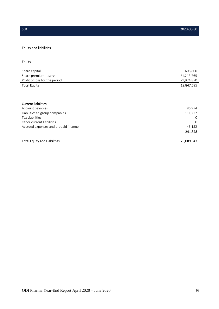### Equity and liabilities

## Equity

| Share capital                       | 608,800      |
|-------------------------------------|--------------|
| Share premium reserve               | 21,213,765   |
| Profit or loss for the period       | $-1,974,870$ |
| <b>Total Equity</b>                 | 19,847,695   |
|                                     |              |
| <b>Current liabilities</b>          |              |
| Account payables                    | 86,974       |
| Liabilities to group companies      | 111,222      |
| <b>Tax Liabilities</b>              | 0            |
| Other current liabilities           | $\Omega$     |
| Accrued expenses and prepaid income | 43,152       |
|                                     | 241,348      |
| <b>Total Equity and Liabilities</b> | 20,089,043   |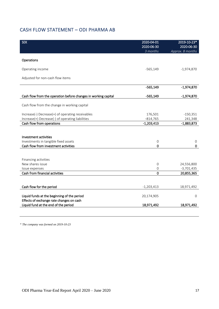# CASH FLOW STATEMENT – ODI PHARMA AB

| <b>SEK</b>                                                                       | 2020-04-01<br>2020-06-30<br>3 months  | 2019-10-23*<br>2020-06-30<br>Approx. 8 months |
|----------------------------------------------------------------------------------|---------------------------------------|-----------------------------------------------|
|                                                                                  |                                       |                                               |
| Operations                                                                       |                                       |                                               |
| Operating income                                                                 | -565,149                              | $-1,974,870$                                  |
| Adjusted for non-cash flow items                                                 |                                       |                                               |
|                                                                                  | $-565,149$                            | $-1,974,870$                                  |
| Cash flow from the operation before changes in working capital                   | $-565,149$                            | $-1,974,870$                                  |
| Cash flow from the change in working capital                                     |                                       |                                               |
| Increase(-) Decrease(+) of operating receivables                                 | 176,501                               | $-150,351$                                    |
| Increase(+) Decrease(-) of operating liabilities                                 | $-814,765$                            | 241,348                                       |
| Cash flow from operations                                                        | $-1,203,413$                          | $-1,883,873$                                  |
|                                                                                  |                                       |                                               |
| Investment activities                                                            |                                       |                                               |
| Investments in tangible fixed assets                                             | $\mathsf{O}\xspace$                   | $\mathsf{O}\xspace$                           |
| Cash flow from investment activities                                             | $\mathbf 0$                           | 0                                             |
|                                                                                  |                                       |                                               |
|                                                                                  |                                       |                                               |
| Financing activities<br>New shares issue                                         |                                       |                                               |
| Issue expenses                                                                   | $\mathsf{O}\xspace$<br>$\overline{0}$ | 24,556,800<br>$-3,701,435$                    |
| Cash from financial activities                                                   | $\Omega$                              | 20,855,365                                    |
|                                                                                  |                                       |                                               |
|                                                                                  |                                       |                                               |
| Cash flow for the period                                                         | $-1,203,413$                          | 18,971,492                                    |
| Liquid funds at the beginning of the period                                      | 20,174,905                            | $\Omega$                                      |
| Effects of exchange rate changes on cash<br>Liquid fund at the end of the period | 18,971,492                            | 18,971,492                                    |
|                                                                                  |                                       |                                               |

*\* The company was formed on 2019-10-23*